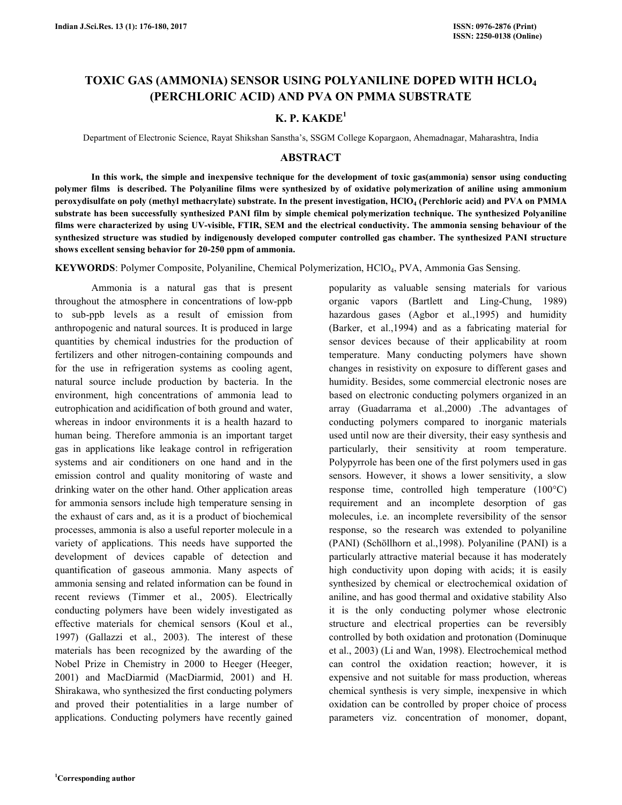# **TOXIC GAS (AMMONIA) SENSOR USING POLYANILINE DOPED WITH HCLO<sup>4</sup> (PERCHLORIC ACID) AND PVA ON PMMA SUBSTRATE**

# **K. P. KAKDE<sup>1</sup>**

Department of Electronic Science, Rayat Shikshan Sanstha's, SSGM College Kopargaon, Ahemadnagar, Maharashtra, India

### **ABSTRACT**

**In this work, the simple and inexpensive technique for the development of toxic gas(ammonia) sensor using conducting polymer films is described. The Polyaniline films were synthesized by of oxidative polymerization of aniline using ammonium peroxydisulfate on poly (methyl methacrylate) substrate. In the present investigation, HClO<sup>4</sup> (Perchloric acid) and PVA on PMMA substrate has been successfully synthesized PANI film by simple chemical polymerization technique. The synthesized Polyaniline films were characterized by using UV-visible, FTIR, SEM and the electrical conductivity. The ammonia sensing behaviour of the synthesized structure was studied by indigenously developed computer controlled gas chamber. The synthesized PANI structure shows excellent sensing behavior for 20-250 ppm of ammonia.** 

**KEYWORDS**: Polymer Composite, Polyaniline, Chemical Polymerization, HClO4, PVA, Ammonia Gas Sensing.

Ammonia is a natural gas that is present throughout the atmosphere in concentrations of low-ppb to sub-ppb levels as a result of emission from anthropogenic and natural sources. It is produced in large quantities by chemical industries for the production of fertilizers and other nitrogen-containing compounds and for the use in refrigeration systems as cooling agent, natural source include production by bacteria. In the environment, high concentrations of ammonia lead to eutrophication and acidification of both ground and water, whereas in indoor environments it is a health hazard to human being. Therefore ammonia is an important target gas in applications like leakage control in refrigeration systems and air conditioners on one hand and in the emission control and quality monitoring of waste and drinking water on the other hand. Other application areas for ammonia sensors include high temperature sensing in the exhaust of cars and, as it is a product of biochemical processes, ammonia is also a useful reporter molecule in a variety of applications. This needs have supported the development of devices capable of detection and quantification of gaseous ammonia. Many aspects of ammonia sensing and related information can be found in recent reviews (Timmer et al., 2005). Electrically conducting polymers have been widely investigated as effective materials for chemical sensors (Koul et al., 1997) (Gallazzi et al., 2003). The interest of these materials has been recognized by the awarding of the Nobel Prize in Chemistry in 2000 to Heeger (Heeger, 2001) and MacDiarmid (MacDiarmid, 2001) and H. Shirakawa, who synthesized the first conducting polymers and proved their potentialities in a large number of applications. Conducting polymers have recently gained

popularity as valuable sensing materials for various organic vapors (Bartlett and Ling-Chung, 1989) hazardous gases (Agbor et al.,1995) and humidity (Barker, et al.,1994) and as a fabricating material for sensor devices because of their applicability at room temperature. Many conducting polymers have shown changes in resistivity on exposure to different gases and humidity. Besides, some commercial electronic noses are based on electronic conducting polymers organized in an array (Guadarrama et al.,2000) .The advantages of conducting polymers compared to inorganic materials used until now are their diversity, their easy synthesis and particularly, their sensitivity at room temperature. Polypyrrole has been one of the first polymers used in gas sensors. However, it shows a lower sensitivity, a slow response time, controlled high temperature (100°C) requirement and an incomplete desorption of gas molecules, i.e. an incomplete reversibility of the sensor response, so the research was extended to polyaniline (PANI) (Schöllhorn et al.,1998). Polyaniline (PANI) is a particularly attractive material because it has moderately high conductivity upon doping with acids; it is easily synthesized by chemical or electrochemical oxidation of aniline, and has good thermal and oxidative stability Also it is the only conducting polymer whose electronic structure and electrical properties can be reversibly controlled by both oxidation and protonation (Dominuque et al., 2003) (Li and Wan, 1998). Electrochemical method can control the oxidation reaction; however, it is expensive and not suitable for mass production, whereas chemical synthesis is very simple, inexpensive in which oxidation can be controlled by proper choice of process parameters viz. concentration of monomer, dopant,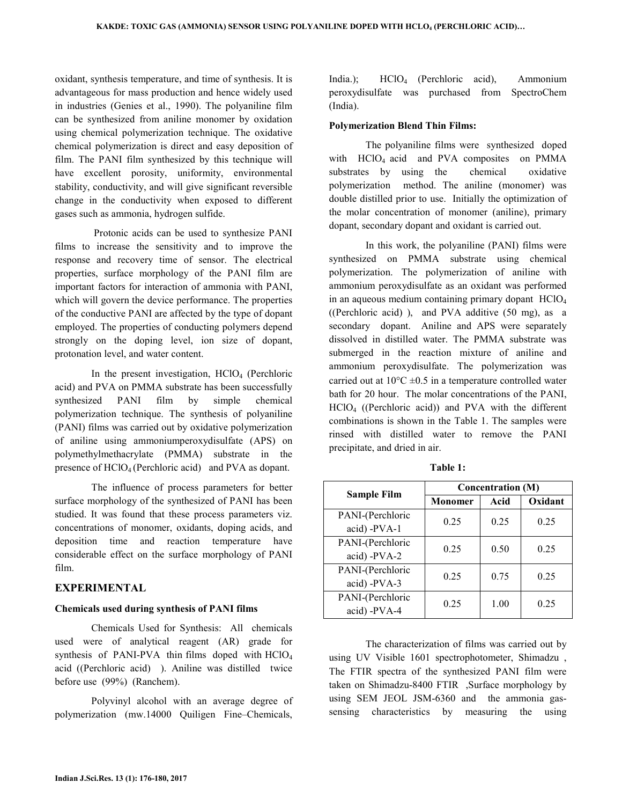oxidant, synthesis temperature, and time of synthesis. It is advantageous for mass production and hence widely used in industries (Genies et al., 1990). The polyaniline film can be synthesized from aniline monomer by oxidation using chemical polymerization technique. The oxidative chemical polymerization is direct and easy deposition of film. The PANI film synthesized by this technique will have excellent porosity, uniformity, environmental stability, conductivity, and will give significant reversible change in the conductivity when exposed to different gases such as ammonia, hydrogen sulfide.

 Protonic acids can be used to synthesize PANI films to increase the sensitivity and to improve the response and recovery time of sensor. The electrical properties, surface morphology of the PANI film are important factors for interaction of ammonia with PANI, which will govern the device performance. The properties of the conductive PANI are affected by the type of dopant employed. The properties of conducting polymers depend strongly on the doping level, ion size of dopant, protonation level, and water content.

In the present investigation,  $HClO<sub>4</sub>$  (Perchloric acid) and PVA on PMMA substrate has been successfully synthesized PANI film by simple chemical polymerization technique. The synthesis of polyaniline (PANI) films was carried out by oxidative polymerization of aniline using ammoniumperoxydisulfate (APS) on polymethylmethacrylate (PMMA) substrate in the presence of HClO4 (Perchloric acid) and PVA as dopant.

The influence of process parameters for better surface morphology of the synthesized of PANI has been studied. It was found that these process parameters viz. concentrations of monomer, oxidants, doping acids, and deposition time and reaction temperature have considerable effect on the surface morphology of PANI film.

## **EXPERIMENTAL**

#### **Chemicals used during synthesis of PANI films**

Chemicals Used for Synthesis: All chemicals used were of analytical reagent (AR) grade for synthesis of PANI-PVA thin films doped with  $HClO<sub>4</sub>$ acid ((Perchloric acid) ). Aniline was distilled twice before use (99%) (Ranchem).

 Polyvinyl alcohol with an average degree of polymerization (mw.14000 Quiligen Fine–Chemicals,

India.); HClO<sub>4</sub> (Perchloric acid), Ammonium peroxydisulfate was purchased from SpectroChem (India).

#### **Polymerization Blend Thin Films:**

The polyaniline films were synthesized doped with  $HClO<sub>4</sub>$  acid and PVA composites on PMMA substrates by using the chemical oxidative polymerization method. The aniline (monomer) was double distilled prior to use. Initially the optimization of the molar concentration of monomer (aniline), primary dopant, secondary dopant and oxidant is carried out.

In this work, the polyaniline (PANI) films were synthesized on PMMA substrate using chemical polymerization. The polymerization of aniline with ammonium peroxydisulfate as an oxidant was performed in an aqueous medium containing primary dopant HClO<sup>4</sup> ((Perchloric acid) ), and PVA additive (50 mg), as a secondary dopant. Aniline and APS were separately dissolved in distilled water. The PMMA substrate was submerged in the reaction mixture of aniline and ammonium peroxydisulfate. The polymerization was carried out at  $10^{\circ}$ C  $\pm$ 0.5 in a temperature controlled water bath for 20 hour. The molar concentrations of the PANI, HClO4 ((Perchloric acid)) and PVA with the different combinations is shown in the Table 1. The samples were rinsed with distilled water to remove the PANI precipitate, and dried in air.

| Sample Film                      | <b>Concentration (M)</b> |      |         |
|----------------------------------|--------------------------|------|---------|
|                                  | Monomer                  | Acid | Oxidant |
| PANI-(Perchloric<br>acid) -PVA-1 | 0.25                     | 0.25 | 0.25    |
| PANI-(Perchloric<br>acid) -PVA-2 | 0.25                     | 0.50 | 0.25    |
| PANI-(Perchloric<br>acid) -PVA-3 | 0.25                     | 0.75 | 0.25    |
| PANI-(Perchloric<br>acid) -PVA-4 | 0.25                     | 1.00 | 0.25    |

**Table 1:** 

The characterization of films was carried out by using UV Visible 1601 spectrophotometer, Shimadzu , The FTIR spectra of the synthesized PANI film were taken on Shimadzu-8400 FTIR ,Surface morphology by using SEM JEOL JSM-6360 and the ammonia gassensing characteristics by measuring the using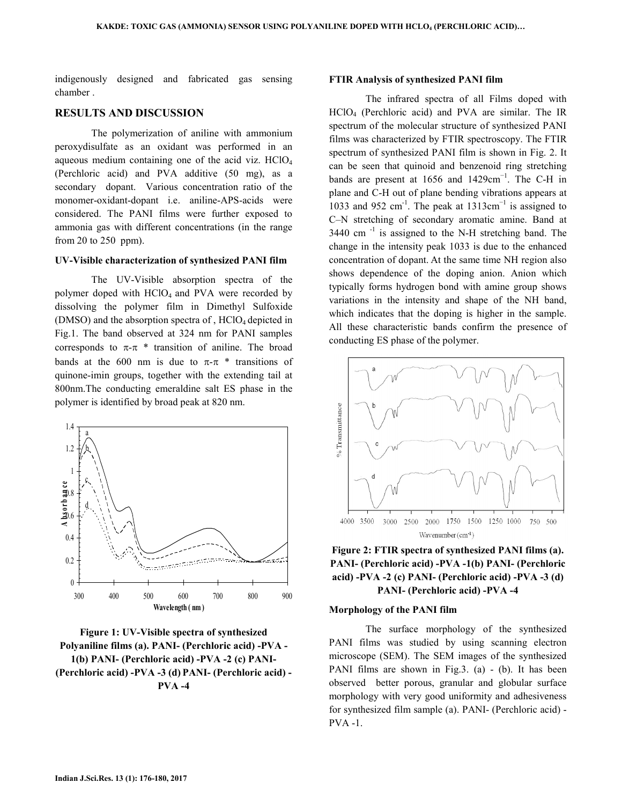indigenously designed and fabricated gas sensing chamber .

#### **RESULTS AND DISCUSSION**

The polymerization of aniline with ammonium peroxydisulfate as an oxidant was performed in an aqueous medium containing one of the acid viz. HClO<sup>4</sup> (Perchloric acid) and PVA additive (50 mg), as a secondary dopant. Various concentration ratio of the monomer-oxidant-dopant i.e. aniline-APS-acids were considered. The PANI films were further exposed to ammonia gas with different concentrations (in the range from 20 to 250 ppm).

#### **UV-Visible characterization of synthesized PANI film**

The UV-Visible absorption spectra of the polymer doped with  $HClO<sub>4</sub>$  and PVA were recorded by dissolving the polymer film in Dimethyl Sulfoxide (DMSO) and the absorption spectra of,  $HClO<sub>4</sub>$  depicted in Fig.1. The band observed at 324 nm for PANI samples corresponds to  $\pi$ - $\pi$  \* transition of aniline. The broad bands at the 600 nm is due to  $\pi-\pi$  \* transitions of quinone-imin groups, together with the extending tail at 800nm.The conducting emeraldine salt ES phase in the polymer is identified by broad peak at 820 nm.



**Figure 1: UV-Visible spectra of synthesized Polyaniline films (a). PANI- (Perchloric acid) -PVA - 1(b) PANI- (Perchloric acid) -PVA -2 (c) PANI- (Perchloric acid) -PVA -3 (d) PANI- (Perchloric acid) - PVA -4** 

#### **FTIR Analysis of synthesized PANI film**

The infrared spectra of all Films doped with HClO4 (Perchloric acid) and PVA are similar. The IR spectrum of the molecular structure of synthesized PANI films was characterized by FTIR spectroscopy. The FTIR spectrum of synthesized PANI film is shown in Fig. 2. It can be seen that quinoid and benzenoid ring stretching bands are present at 1656 and 1429cm<sup>-1</sup>. The C-H in plane and C-H out of plane bending vibrations appears at 1033 and 952 cm<sup>-1</sup>. The peak at  $1313 \text{cm}^{-1}$  is assigned to C–N stretching of secondary aromatic amine. Band at  $3440$  cm<sup>-1</sup> is assigned to the N-H stretching band. The change in the intensity peak 1033 is due to the enhanced concentration of dopant. At the same time NH region also shows dependence of the doping anion. Anion which typically forms hydrogen bond with amine group shows variations in the intensity and shape of the NH band, which indicates that the doping is higher in the sample. All these characteristic bands confirm the presence of conducting ES phase of the polymer.



**Figure 2: FTIR spectra of synthesized PANI films (a). PANI- (Perchloric acid) -PVA -1(b) PANI- (Perchloric acid) -PVA -2 (c) PANI- (Perchloric acid) -PVA -3 (d) PANI- (Perchloric acid) -PVA -4** 

## **Morphology of the PANI film**

 The surface morphology of the synthesized PANI films was studied by using scanning electron microscope (SEM). The SEM images of the synthesized PANI films are shown in Fig.3. (a) - (b). It has been observed better porous, granular and globular surface morphology with very good uniformity and adhesiveness for synthesized film sample (a). PANI- (Perchloric acid) - PVA -1.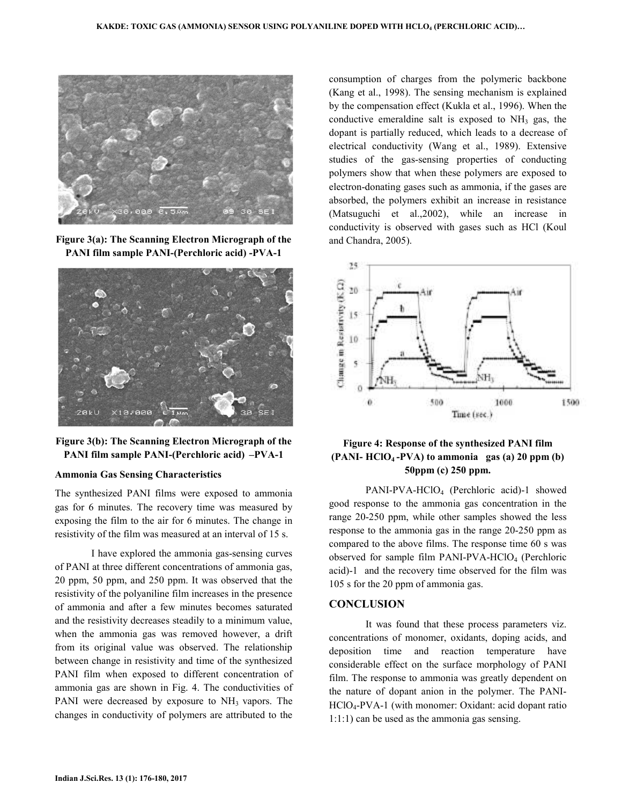

**Figure 3(a): The Scanning Electron Micrograph of the PANI film sample PANI-(Perchloric acid) -PVA-1** 



**Figure 3(b): The Scanning Electron Micrograph of the PANI film sample PANI-(Perchloric acid) –PVA-1** 

#### **Ammonia Gas Sensing Characteristics**

The synthesized PANI films were exposed to ammonia gas for 6 minutes. The recovery time was measured by exposing the film to the air for 6 minutes. The change in resistivity of the film was measured at an interval of 15 s.

 I have explored the ammonia gas-sensing curves of PANI at three different concentrations of ammonia gas, 20 ppm, 50 ppm, and 250 ppm. It was observed that the resistivity of the polyaniline film increases in the presence of ammonia and after a few minutes becomes saturated and the resistivity decreases steadily to a minimum value, when the ammonia gas was removed however, a drift from its original value was observed. The relationship between change in resistivity and time of the synthesized PANI film when exposed to different concentration of ammonia gas are shown in Fig. 4. The conductivities of PANI were decreased by exposure to NH<sub>3</sub> vapors. The changes in conductivity of polymers are attributed to the

consumption of charges from the polymeric backbone (Kang et al., 1998). The sensing mechanism is explained by the compensation effect (Kukla et al., 1996). When the conductive emeraldine salt is exposed to  $NH<sub>3</sub>$  gas, the dopant is partially reduced, which leads to a decrease of electrical conductivity (Wang et al., 1989). Extensive studies of the gas-sensing properties of conducting polymers show that when these polymers are exposed to electron-donating gases such as ammonia, if the gases are absorbed, the polymers exhibit an increase in resistance (Matsuguchi et al.,2002), while an increase in conductivity is observed with gases such as HCl (Koul and Chandra, 2005).



## **Figure 4: Response of the synthesized PANI film (PANI- HClO4 -PVA) to ammonia gas (a) 20 ppm (b) 50ppm (c) 250 ppm.**

 PANI-PVA-HClO4 (Perchloric acid)-1 showed good response to the ammonia gas concentration in the range 20-250 ppm, while other samples showed the less response to the ammonia gas in the range 20-250 ppm as compared to the above films. The response time 60 s was observed for sample film PANI-PVA-HClO<sub>4</sub> (Perchloric acid)-1 and the recovery time observed for the film was 105 s for the 20 ppm of ammonia gas.

#### **CONCLUSION**

It was found that these process parameters viz. concentrations of monomer, oxidants, doping acids, and deposition time and reaction temperature have considerable effect on the surface morphology of PANI film. The response to ammonia was greatly dependent on the nature of dopant anion in the polymer. The PANI-HClO4-PVA-1 (with monomer: Oxidant: acid dopant ratio 1:1:1) can be used as the ammonia gas sensing.